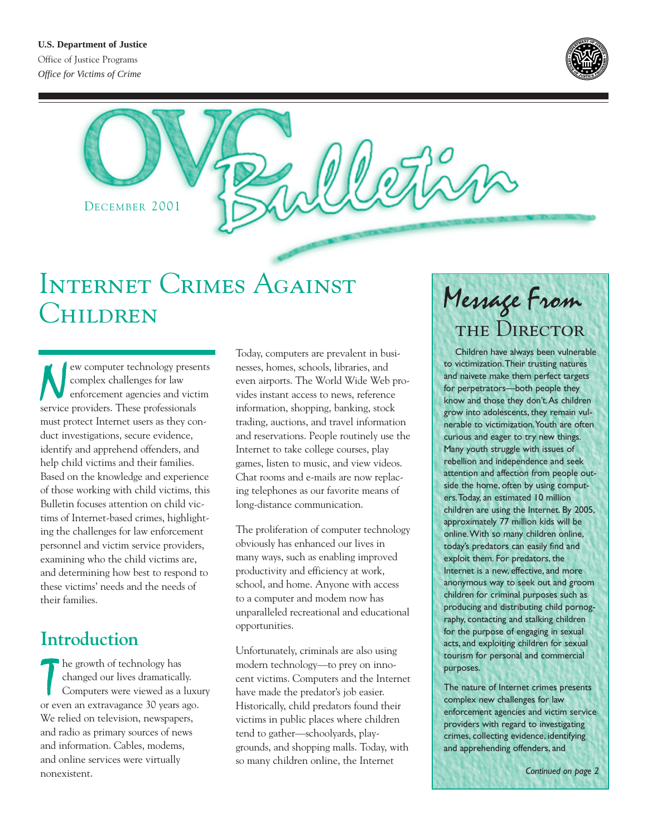

DECEMBER 2001

# Internet Crimes Against Children

New computer technology presents service providers. These professionals complex challenges for law enforcement agencies and victim must protect Internet users as they conduct investigations, secure evidence, identify and apprehend offenders, and help child victims and their families. Based on the knowledge and experience of those working with child victims, this Bulletin focuses attention on child victims of Internet-based crimes, highlighting the challenges for law enforcement personnel and victim service providers, examining who the child victims are, and determining how best to respond to these victims' needs and the needs of their families.

# **Introduction**

The growth of technology has<br>
changed our lives dramatically.<br>
Computers were viewed as a luxu<br>
or even an extravagance 30 years ago. he growth of technology has changed our lives dramatically. Computers were viewed as a luxury We relied on television, newspapers, and radio as primary sources of news and information. Cables, modems, and online services were virtually nonexistent.

Today, computers are prevalent in businesses, homes, schools, libraries, and even airports. The World Wide Web provides instant access to news, reference information, shopping, banking, stock trading, auctions, and travel information and reservations. People routinely use the Internet to take college courses, play games, listen to music, and view videos. Chat rooms and e-mails are now replacing telephones as our favorite means of long-distance communication.

The proliferation of computer technology obviously has enhanced our lives in many ways, such as enabling improved productivity and efficiency at work, school, and home. Anyone with access to a computer and modem now has unparalleled recreational and educational opportunities.

Unfortunately, criminals are also using modern technology—to prey on innocent victims. Computers and the Internet have made the predator's job easier. Historically, child predators found their victims in public places where children tend to gather—schoolyards, playgrounds, and shopping malls. Today, with so many children online, the Internet

# Message From THE DIRECTOR

Children have always been vulnerable to victimization.Their trusting natures and naivete make them perfect targets for perpetrators—both people they know and those they don't.As children grow into adolescents, they remain vulnerable to victimization.Youth are often curious and eager to try new things. Many youth struggle with issues of rebellion and independence and seek attention and affection from people outside the home, often by using computers.Today, an estimated 10 million children are using the Internet. By 2005, approximately 77 million kids will be online.With so many children online, today's predators can easily find and exploit them. For predators, the Internet is a new, effective, and more anonymous way to seek out and groom children for criminal purposes such as producing and distributing child pornography, contacting and stalking children for the purpose of engaging in sexual acts, and exploiting children for sexual tourism for personal and commercial purposes.

The nature of Internet crimes presents complex new challenges for law enforcement agencies and victim service providers with regard to investigating crimes, collecting evidence, identifying and apprehending offenders, and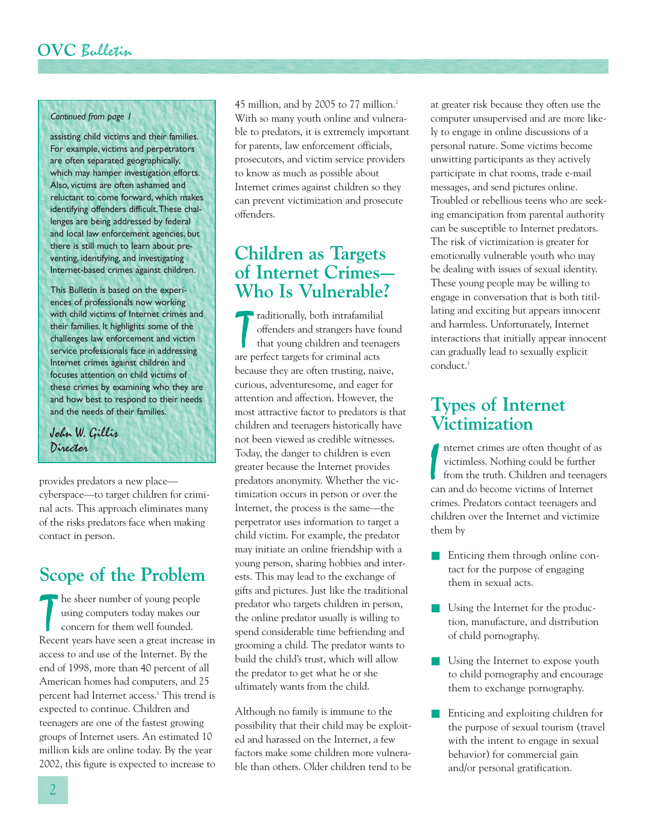#### *Continued from page 1*

assisting child victims and their families. For example, victims and perpetrators are often separated geographically, which may hamper investigation efforts. Also, victims are often ashamed and reluctant to come forward, which makes identifying offenders difficult.These challenges are being addressed by federal and local law enforcement agencies, but there is still much to learn about preventing, identifying, and investigating Internet-based crimes against children.

This Bulletin is based on the experiences of professionals now working with child victims of Internet crimes and their families. It highlights some of the challenges law enforcement and victim service professionals face in addressing Internet crimes against children and focuses attention on child victims of these crimes by examining who they are and how best to respond to their needs and the needs of their families.

John W. Gillis Director

provides predators a new place cyberspace—to target children for criminal acts. This approach eliminates many of the risks predators face when making contact in person.

# **Scope of the Problem**

The sheer number of young people<br>
using computers today makes our<br>
concern for them well founded.<br>
Recent years have seen a great increase in he sheer number of young people using computers today makes our concern for them well founded. access to and use of the Internet. By the end of 1998, more than 40 percent of all American homes had computers, and 25 percent had Internet access.<sup>1</sup> This trend is expected to continue. Children and teenagers are one of the fastest growing groups of Internet users. An estimated 10 million kids are online today. By the year 2002, this figure is expected to increase to 45 million, and by 2005 to 77 million.2 With so many youth online and vulnerable to predators, it is extremely important for parents, law enforcement officials, prosecutors, and victim service providers to know as much as possible about Internet crimes against children so they can prevent victimization and prosecute offenders.

# **Children as Targets of Internet Crimes— Who Is Vulnerable?**

raditionally, both intrafamilia<br>
offenders and strangers have f<br>
that young children and teenare<br>
perfect targets for criminal acts raditionally, both intrafamilial offenders and strangers have found that young children and teenagers because they are often trusting, naive, curious, adventuresome, and eager for attention and affection. However, the most attractive factor to predators is that children and teenagers historically have not been viewed as credible witnesses. Today, the danger to children is even greater because the Internet provides predators anonymity. Whether the victimization occurs in person or over the Internet, the process is the same—the perpetrator uses information to target a child victim. For example, the predator may initiate an online friendship with a young person, sharing hobbies and interests. This may lead to the exchange of gifts and pictures. Just like the traditional predator who targets children in person, the online predator usually is willing to spend considerable time befriending and grooming a child. The predator wants to build the child's trust, which will allow the predator to get what he or she ultimately wants from the child.

Although no family is immune to the possibility that their child may be exploited and harassed on the Internet, a few factors make some children more vulnerable than others. Older children tend to be at greater risk because they often use the computer unsupervised and are more likely to engage in online discussions of a personal nature. Some victims become unwitting participants as they actively participate in chat rooms, trade e-mail messages, and send pictures online. Troubled or rebellious teens who are seeking emancipation from parental authority can be susceptible to Internet predators. The risk of victimization is greater for emotionally vulnerable youth who may be dealing with issues of sexual identity. These young people may be willing to engage in conversation that is both titillating and exciting but appears innocent and harmless. Unfortunately, Internet interactions that initially appear innocent can gradually lead to sexually explicit conduct.<sup>3</sup>

## **Types of Internet Victimization**

Internet crimes are often thought of<br>victimless. Nothing could be further<br>from the truth. Children and teenag<br>can and do become victims of Internet nternet crimes are often thought of as victimless. Nothing could be further from the truth. Children and teenagers crimes. Predators contact teenagers and children over the Internet and victimize them by

- Enticing them through online contact for the purpose of engaging them in sexual acts.
- Using the Internet for the production, manufacture, and distribution of child pornography.
- Using the Internet to expose youth to child pornography and encourage them to exchange pornography.
- Enticing and exploiting children for the purpose of sexual tourism (travel with the intent to engage in sexual behavior) for commercial gain and/or personal gratification.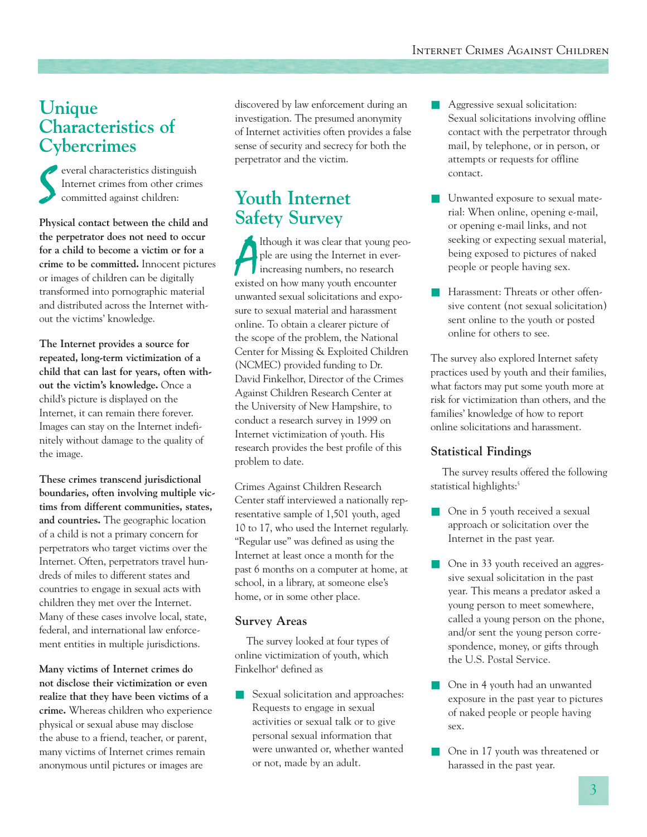# **Unique Characteristics of Cybercrimes**

S everal characteristics distinguish Internet crimes from other crimes committed against children:

**Physical contact between the child and the perpetrator does not need to occur for a child to become a victim or for a crime to be committed.** Innocent pictures or images of children can be digitally transformed into pornographic material and distributed across the Internet without the victims' knowledge.

**The Internet provides a source for repeated, long-term victimization of a child that can last for years, often without the victim's knowledge.** Once a child's picture is displayed on the Internet, it can remain there forever. Images can stay on the Internet indefinitely without damage to the quality of the image.

**These crimes transcend jurisdictional boundaries, often involving multiple victims from different communities, states, and countries.** The geographic location of a child is not a primary concern for perpetrators who target victims over the Internet. Often, perpetrators travel hundreds of miles to different states and countries to engage in sexual acts with children they met over the Internet. Many of these cases involve local, state, federal, and international law enforcement entities in multiple jurisdictions.

**Many victims of Internet crimes do not disclose their victimization or even realize that they have been victims of a crime.** Whereas children who experience physical or sexual abuse may disclose the abuse to a friend, teacher, or parent, many victims of Internet crimes remain anonymous until pictures or images are

discovered by law enforcement during an investigation. The presumed anonymity of Internet activities often provides a false sense of security and secrecy for both the perpetrator and the victim.

# **Youth Internet Safety Survey**

A<br>existe lthough it was clear that young people are using the Internet in everincreasing numbers, no research existed on how many youth encounter unwanted sexual solicitations and exposure to sexual material and harassment online. To obtain a clearer picture of the scope of the problem, the National Center for Missing & Exploited Children (NCMEC) provided funding to Dr. David Finkelhor, Director of the Crimes Against Children Research Center at the University of New Hampshire, to conduct a research survey in 1999 on Internet victimization of youth. His research provides the best profile of this problem to date.

Crimes Against Children Research Center staff interviewed a nationally representative sample of 1,501 youth, aged 10 to 17, who used the Internet regularly. "Regular use" was defined as using the Internet at least once a month for the past 6 months on a computer at home, at school, in a library, at someone else's home, or in some other place.

#### **Survey Areas**

The survey looked at four types of online victimization of youth, which Finkelhor<sup>4</sup> defined as

■ Sexual solicitation and approaches: Requests to engage in sexual activities or sexual talk or to give personal sexual information that were unwanted or, whether wanted or not, made by an adult.

- Aggressive sexual solicitation: Sexual solicitations involving offline contact with the perpetrator through mail, by telephone, or in person, or attempts or requests for offline contact.
- Unwanted exposure to sexual material: When online, opening e-mail, or opening e-mail links, and not seeking or expecting sexual material, being exposed to pictures of naked people or people having sex.
- Harassment: Threats or other offensive content (not sexual solicitation) sent online to the youth or posted online for others to see.

The survey also explored Internet safety practices used by youth and their families, what factors may put some youth more at risk for victimization than others, and the families' knowledge of how to report online solicitations and harassment.

#### **Statistical Findings**

The survey results offered the following statistical highlights:<sup>5</sup>

- One in 5 youth received a sexual approach or solicitation over the Internet in the past year.
- One in 33 youth received an aggressive sexual solicitation in the past year. This means a predator asked a young person to meet somewhere, called a young person on the phone, and/or sent the young person correspondence, money, or gifts through the U.S. Postal Service.
- One in 4 youth had an unwanted exposure in the past year to pictures of naked people or people having sex.
- One in 17 youth was threatened or harassed in the past year.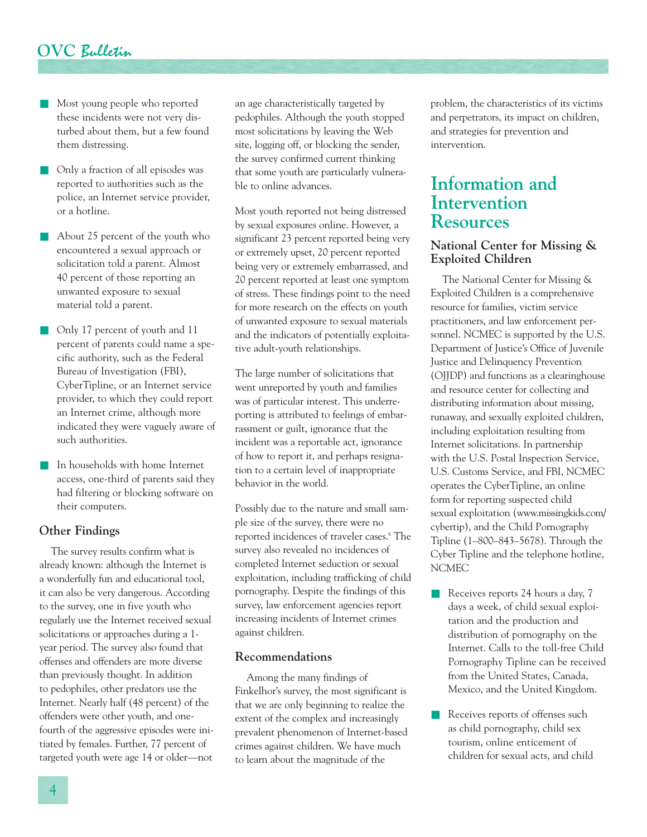- Most young people who reported these incidents were not very disturbed about them, but a few found them distressing.
- Only a fraction of all episodes was reported to authorities such as the police, an Internet service provider, or a hotline.
- About 25 percent of the youth who encountered a sexual approach or solicitation told a parent. Almost 40 percent of those reporting an unwanted exposure to sexual material told a parent.
- Only 17 percent of youth and 11 percent of parents could name a specific authority, such as the Federal Bureau of Investigation (FBI), CyberTipline, or an Internet service provider, to which they could report an Internet crime, although more indicated they were vaguely aware of such authorities.
- In households with home Internet access, one-third of parents said they had filtering or blocking software on their computers.

#### **Other Findings**

The survey results confirm what is already known: although the Internet is a wonderfully fun and educational tool, it can also be very dangerous. According to the survey, one in five youth who regularly use the Internet received sexual solicitations or approaches during a 1 year period. The survey also found that offenses and offenders are more diverse than previously thought. In addition to pedophiles, other predators use the Internet. Nearly half (48 percent) of the offenders were other youth, and onefourth of the aggressive episodes were initiated by females. Further, 77 percent of targeted youth were age 14 or older—not

an age characteristically targeted by pedophiles. Although the youth stopped most solicitations by leaving the Web site, logging off, or blocking the sender, the survey confirmed current thinking that some youth are particularly vulnerable to online advances.

Most youth reported not being distressed by sexual exposures online. However, a significant 23 percent reported being very or extremely upset, 20 percent reported being very or extremely embarrassed, and 20 percent reported at least one symptom of stress. These findings point to the need for more research on the effects on youth of unwanted exposure to sexual materials and the indicators of potentially exploitative adult-youth relationships.

The large number of solicitations that went unreported by youth and families was of particular interest. This underreporting is attributed to feelings of embarrassment or guilt, ignorance that the incident was a reportable act, ignorance of how to report it, and perhaps resignation to a certain level of inappropriate behavior in the world.

Possibly due to the nature and small sample size of the survey, there were no reported incidences of traveler cases.<sup>6</sup> The survey also revealed no incidences of completed Internet seduction or sexual exploitation, including trafficking of child pornography. Despite the findings of this survey, law enforcement agencies report increasing incidents of Internet crimes against children.

#### **Recommendations**

Among the many findings of Finkelhor's survey, the most significant is that we are only beginning to realize the extent of the complex and increasingly prevalent phenomenon of Internet-based crimes against children. We have much to learn about the magnitude of the

problem, the characteristics of its victims and perpetrators, its impact on children, and strategies for prevention and intervention.

### **Information and Intervention Resources**

#### **National Center for Missing & Exploited Children**

The National Center for Missing & Exploited Children is a comprehensive resource for families, victim service practitioners, and law enforcement personnel. NCMEC is supported by the U.S. Department of Justice's Office of Juvenile Justice and Delinquency Prevention (OJJDP) and functions as a clearinghouse and resource center for collecting and distributing information about missing, runaway, and sexually exploited children, including exploitation resulting from Internet solicitations. In partnership with the U.S. Postal Inspection Service, U.S. Customs Service, and FBI, NCMEC operates the CyberTipline, an online form for reporting suspected child sexual exploitation (www.missingkids.com/ cybertip), and the Child Pornography Tipline (1–800–843–5678). Through the Cyber Tipline and the telephone hotline, NCMEC

- Receives reports 24 hours a day, 7 days a week, of child sexual exploitation and the production and distribution of pornography on the Internet. Calls to the toll-free Child Pornography Tipline can be received from the United States, Canada, Mexico, and the United Kingdom.
- Receives reports of offenses such as child pornography, child sex tourism, online enticement of children for sexual acts, and child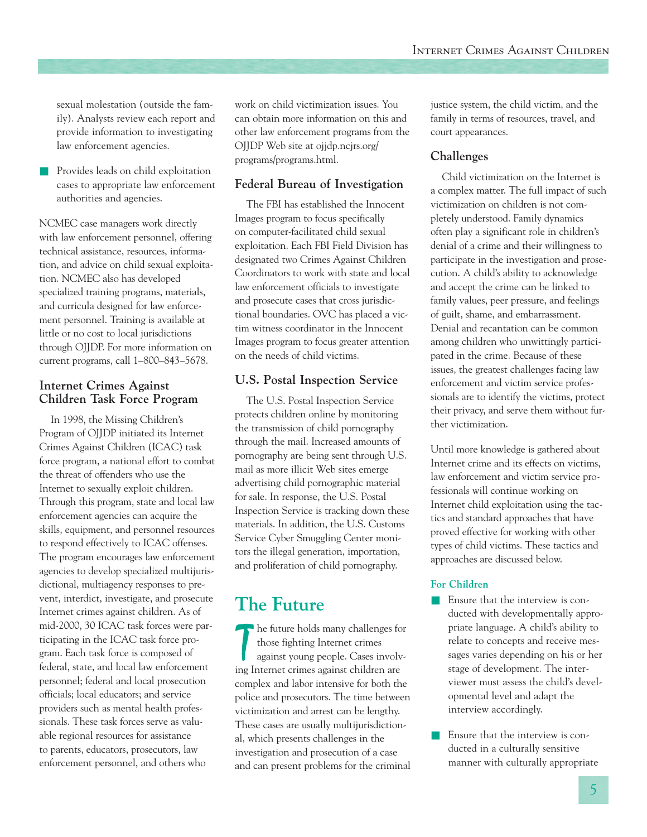Internet Crimes Against Children

sexual molestation (outside the family). Analysts review each report and provide information to investigating law enforcement agencies.

■ Provides leads on child exploitation cases to appropriate law enforcement authorities and agencies.

NCMEC case managers work directly with law enforcement personnel, offering technical assistance, resources, information, and advice on child sexual exploitation. NCMEC also has developed specialized training programs, materials, and curricula designed for law enforcement personnel. Training is available at little or no cost to local jurisdictions through OJJDP. For more information on current programs, call 1–800–843–5678.

#### **Internet Crimes Against Children Task Force Program**

In 1998, the Missing Children's Program of OJJDP initiated its Internet Crimes Against Children (ICAC) task force program, a national effort to combat the threat of offenders who use the Internet to sexually exploit children. Through this program, state and local law enforcement agencies can acquire the skills, equipment, and personnel resources to respond effectively to ICAC offenses. The program encourages law enforcement agencies to develop specialized multijurisdictional, multiagency responses to prevent, interdict, investigate, and prosecute Internet crimes against children. As of mid-2000, 30 ICAC task forces were participating in the ICAC task force program. Each task force is composed of federal, state, and local law enforcement personnel; federal and local prosecution officials; local educators; and service providers such as mental health professionals. These task forces serve as valuable regional resources for assistance to parents, educators, prosecutors, law enforcement personnel, and others who

work on child victimization issues. You can obtain more information on this and other law enforcement programs from the OJJDP Web site at ojjdp.ncjrs.org/ programs/programs.html.

#### **Federal Bureau of Investigation**

The FBI has established the Innocent Images program to focus specifically on computer-facilitated child sexual exploitation. Each FBI Field Division has designated two Crimes Against Children Coordinators to work with state and local law enforcement officials to investigate and prosecute cases that cross jurisdictional boundaries. OVC has placed a victim witness coordinator in the Innocent Images program to focus greater attention on the needs of child victims.

#### **U.S. Postal Inspection Service**

The U.S. Postal Inspection Service protects children online by monitoring the transmission of child pornography through the mail. Increased amounts of pornography are being sent through U.S. mail as more illicit Web sites emerge advertising child pornographic material for sale. In response, the U.S. Postal Inspection Service is tracking down these materials. In addition, the U.S. Customs Service Cyber Smuggling Center monitors the illegal generation, importation, and proliferation of child pornography.

# **The Future**

The future holds many challenges for those fighting Internet crimes against young people. Cases involving Internet crimes against children are he future holds many challenges for those fighting Internet crimes against young people. Cases involvcomplex and labor intensive for both the police and prosecutors. The time between victimization and arrest can be lengthy. These cases are usually multijurisdictional, which presents challenges in the investigation and prosecution of a case and can present problems for the criminal justice system, the child victim, and the family in terms of resources, travel, and court appearances.

#### **Challenges**

Child victimization on the Internet is a complex matter. The full impact of such victimization on children is not completely understood. Family dynamics often play a significant role in children's denial of a crime and their willingness to participate in the investigation and prosecution. A child's ability to acknowledge and accept the crime can be linked to family values, peer pressure, and feelings of guilt, shame, and embarrassment. Denial and recantation can be common among children who unwittingly participated in the crime. Because of these issues, the greatest challenges facing law enforcement and victim service professionals are to identify the victims, protect their privacy, and serve them without further victimization.

Until more knowledge is gathered about Internet crime and its effects on victims, law enforcement and victim service professionals will continue working on Internet child exploitation using the tactics and standard approaches that have proved effective for working with other types of child victims. These tactics and approaches are discussed below.

#### **For Children**

- Ensure that the interview is conducted with developmentally appropriate language. A child's ability to relate to concepts and receive messages varies depending on his or her stage of development. The interviewer must assess the child's developmental level and adapt the interview accordingly.
- Ensure that the interview is conducted in a culturally sensitive manner with culturally appropriate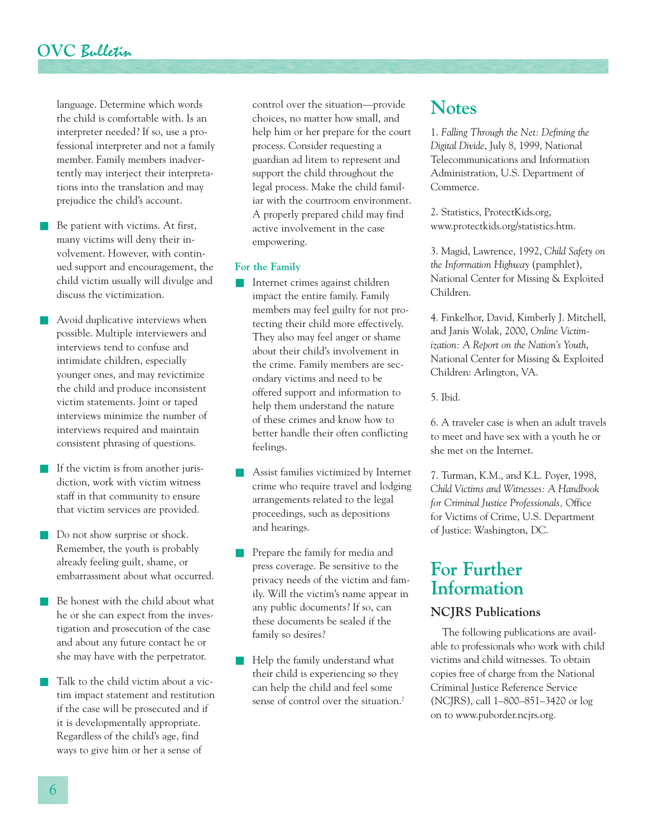## **OVC** Bulletin

language. Determine which words the child is comfortable with. Is an interpreter needed? If so, use a professional interpreter and not a family member. Family members inadvertently may interject their interpretations into the translation and may prejudice the child's account.

- Be patient with victims. At first, many victims will deny their involvement. However, with continued support and encouragement, the child victim usually will divulge and discuss the victimization.
- Avoid duplicative interviews when possible. Multiple interviewers and interviews tend to confuse and intimidate children, especially younger ones, and may revictimize the child and produce inconsistent victim statements. Joint or taped interviews minimize the number of interviews required and maintain consistent phrasing of questions.
- If the victim is from another jurisdiction, work with victim witness staff in that community to ensure that victim services are provided.
- Do not show surprise or shock. Remember, the youth is probably already feeling guilt, shame, or embarrassment about what occurred.
- Be honest with the child about what he or she can expect from the investigation and prosecution of the case and about any future contact he or she may have with the perpetrator.
- Talk to the child victim about a victim impact statement and restitution if the case will be prosecuted and if it is developmentally appropriate. Regardless of the child's age, find ways to give him or her a sense of

control over the situation—provide choices, no matter how small, and help him or her prepare for the court process. Consider requesting a guardian ad litem to represent and support the child throughout the legal process. Make the child familiar with the courtroom environment. A properly prepared child may find active involvement in the case empowering.

#### **For the Family**

- Internet crimes against children impact the entire family. Family members may feel guilty for not protecting their child more effectively. They also may feel anger or shame about their child's involvement in the crime. Family members are secondary victims and need to be offered support and information to help them understand the nature of these crimes and know how to better handle their often conflicting feelings.
- Assist families victimized by Internet crime who require travel and lodging arrangements related to the legal proceedings, such as depositions and hearings.
- Prepare the family for media and press coverage. Be sensitive to the privacy needs of the victim and family. Will the victim's name appear in any public documents? If so, can these documents be sealed if the family so desires?
- Help the family understand what their child is experiencing so they can help the child and feel some sense of control over the situation.<sup>7</sup>

## **Notes**

1. *Falling Through the Net: Defining the Digital Divide*, July 8, 1999, National Telecommunications and Information Administration, U.S. Department of Commerce.

2. Statistics, ProtectKids.org, www.protectkids.org/statistics.htm.

3. Magid, Lawrence, 1992, *Child Safety on the Information Highway* (pamphlet), National Center for Missing & Exploited Children.

4. Finkelhor, David, Kimberly J. Mitchell, and Janis Wolak, 2000, *Online Victimization: A Report on the Nation's Youth*, National Center for Missing & Exploited Children: Arlington, VA.

5. Ibid.

6. A traveler case is when an adult travels to meet and have sex with a youth he or she met on the Internet.

7. Turman, K.M., and K.L. Poyer, 1998, *Child Victims and Witnesses: A Handbook for Criminal Justice Professionals,* Office for Victims of Crime, U.S. Department of Justice: Washington, DC.

## **For Further Information**

#### **NCJRS Publications**

The following publications are available to professionals who work with child victims and child witnesses. To obtain copies free of charge from the National Criminal Justice Reference Service (NCJRS), call 1–800–851–3420 or log on to www.puborder.ncjrs.org.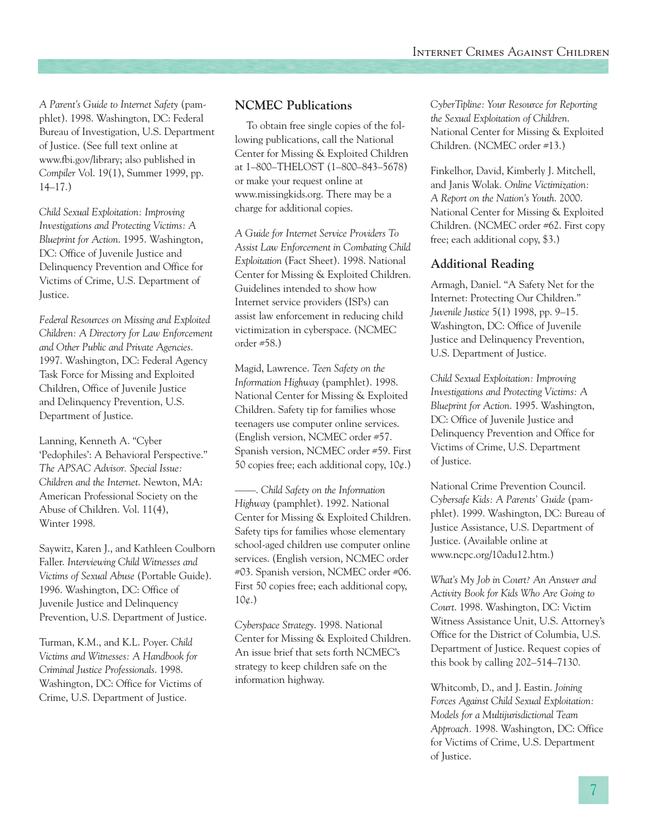*A Parent's Guide to Internet Safety* (pamphlet). 1998. Washington, DC: Federal Bureau of Investigation, U.S. Department of Justice. (See full text online at www.fbi.gov/library; also published in *Compiler* Vol. 19(1), Summer 1999, pp. 14–17.)

*Child Sexual Exploitation: Improving Investigations and Protecting Victims: A Blueprint for Action*. 1995. Washington, DC: Office of Juvenile Justice and Delinquency Prevention and Office for Victims of Crime, U.S. Department of Justice.

*Federal Resources on Missing and Exploited Children: A Directory for Law Enforcement and Other Public and Private Agencies*. 1997. Washington, DC: Federal Agency Task Force for Missing and Exploited Children, Office of Juvenile Justice and Delinquency Prevention, U.S. Department of Justice.

Lanning, Kenneth A. "Cyber 'Pedophiles': A Behavioral Perspective." *The APSAC Advisor. Special Issue: Children and the Internet*. Newton, MA: American Professional Society on the Abuse of Children. Vol. 11(4), Winter 1998.

Saywitz, Karen J., and Kathleen Coulborn Faller. *Interviewing Child Witnesses and Victims of Sexual Abuse* (Portable Guide). 1996. Washington, DC: Office of Juvenile Justice and Delinquency Prevention, U.S. Department of Justice.

Turman, K.M., and K.L. Poyer. *Child Victims and Witnesses: A Handbook for Criminal Justice Professionals*. 1998. Washington, DC: Office for Victims of Crime, U.S. Department of Justice.

#### **NCMEC Publications**

To obtain free single copies of the following publications, call the National Center for Missing & Exploited Children at 1–800–THELOST (1–800–843–5678) or make your request online at www.missingkids.org. There may be a charge for additional copies.

*A Guide for Internet Service Providers To Assist Law Enforcement in Combating Child Exploitation* (Fact Sheet). 1998. National Center for Missing & Exploited Children. Guidelines intended to show how Internet service providers (ISPs) can assist law enforcement in reducing child victimization in cyberspace. (NCMEC order #58.)

Magid, Lawrence. *Teen Safety on the Information Highway* (pamphlet). 1998. National Center for Missing & Exploited Children. Safety tip for families whose teenagers use computer online services. (English version, NCMEC order #57. Spanish version, NCMEC order #59. First 50 copies free; each additional copy, 10¢.)

——. *Child Safety on the Information Highway* (pamphlet). 1992. National Center for Missing & Exploited Children. Safety tips for families whose elementary school-aged children use computer online services. (English version, NCMEC order #03. Spanish version, NCMEC order #06. First 50 copies free; each additional copy,  $10¢$ .

*Cyberspace Strategy*. 1998. National Center for Missing & Exploited Children. An issue brief that sets forth NCMEC's strategy to keep children safe on the information highway.

*CyberTipline: Your Resource for Reporting the Sexual Exploitation of Children*. National Center for Missing & Exploited Children. (NCMEC order #13.)

Finkelhor, David, Kimberly J. Mitchell, and Janis Wolak. *Online Victimization: A Report on the Nation's Youth*. 2000. National Center for Missing & Exploited Children. (NCMEC order #62. First copy free; each additional copy, \$3.)

#### **Additional Reading**

Armagh, Daniel. "A Safety Net for the Internet: Protecting Our Children." *Juvenile Justice* 5(1) 1998, pp. 9–15. Washington, DC: Office of Juvenile Justice and Delinquency Prevention, U.S. Department of Justice.

*Child Sexual Exploitation: Improving Investigations and Protecting Victims: A Blueprint for Action*. 1995. Washington, DC: Office of Juvenile Justice and Delinquency Prevention and Office for Victims of Crime, U.S. Department of Justice.

National Crime Prevention Council. *Cybersafe Kids: A Parents' Guide* (pamphlet). 1999. Washington, DC: Bureau of Justice Assistance, U.S. Department of Justice. (Available online at www.ncpc.org/10adu12.htm.)

*What's My Job in Court? An Answer and Activity Book for Kids Who Are Going to Court*. 1998. Washington, DC: Victim Witness Assistance Unit, U.S. Attorney's Office for the District of Columbia, U.S. Department of Justice. Request copies of this book by calling 202–514–7130.

Whitcomb, D., and J. Eastin. *Joining Forces Against Child Sexual Exploitation: Models for a Multijurisdictional Team Approach.* 1998. Washington, DC: Office for Victims of Crime, U.S. Department of Justice.